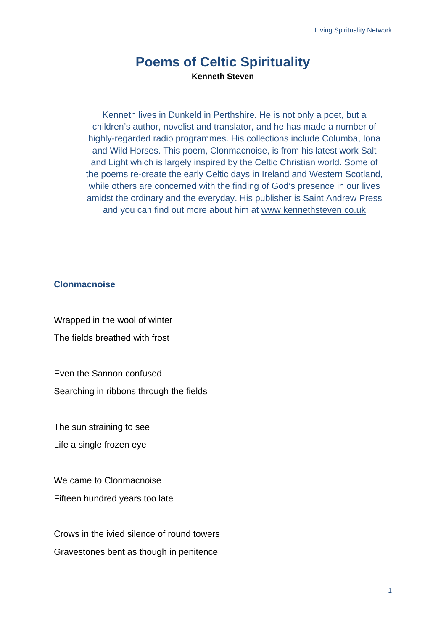## **Poems of Celtic Spirituality Kenneth Steven**

Kenneth lives in Dunkeld in Perthshire. He is not only a poet, but a children's author, novelist and translator, and he has made a number of highly-regarded radio programmes. His collections include Columba, Iona and Wild Horses. This poem, Clonmacnoise, is from his latest work Salt and Light which is largely inspired by the Celtic Christian world. Some of the poems re-create the early Celtic days in Ireland and Western Scotland, while others are concerned with the finding of God's presence in our lives amidst the ordinary and the everyday. His publisher is Saint Andrew Press and you can find out more about him at www.kennethsteven.co.uk

## **Clonmacnoise**

Wrapped in the wool of winter The fields breathed with frost

Even the Sannon confused

Searching in ribbons through the fields

The sun straining to see

Life a single frozen eye

We came to Clonmacnoise Fifteen hundred years too late

Crows in the ivied silence of round towers Gravestones bent as though in penitence